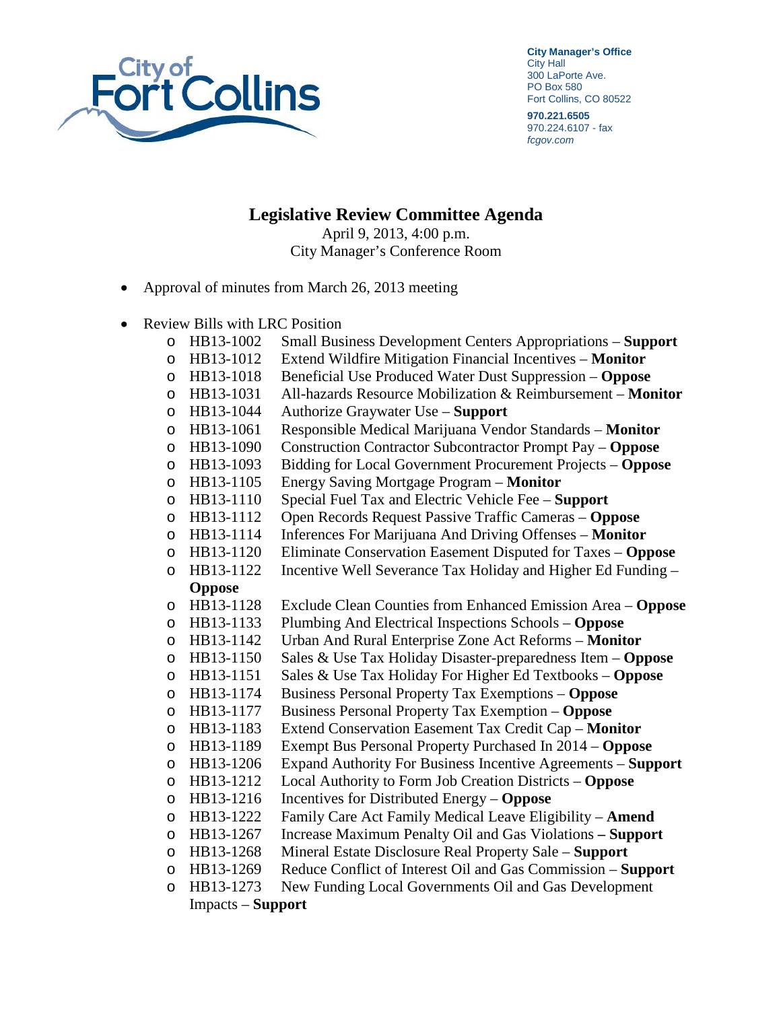

**City Manager's Office** City Hall 300 LaPorte Ave. PO Box 580 Fort Collins, CO 80522

**970.221.6505** 970.224.6107 - fax *fcgov.com*

**Legislative Review Committee Agenda** April 9, 2013, 4:00 p.m.

City Manager's Conference Room

- Approval of minutes from March 26, 2013 meeting
- Review Bills with LRC Position
	- o HB13-1002 Small Business Development Centers Appropriations **Support**
	- o HB13-1012 Extend Wildfire Mitigation Financial Incentives **Monitor**
	-
	- o HB13-1018 Beneficial Use Produced Water Dust Suppression **Oppose**  HB13-1031 All-hazards Resource Mobilization & Reimbursement – **Monitor**<br>HB13-1044 Authorize Graywater Use – **Support**
	-
	- o HB13-1044 Authorize Graywater Use **Support**
	- o HB13-1061 Responsible Medical Marijuana Vendor Standards **Monitor**
	- o HB13-1090 Construction Contractor Subcontractor Prompt Pay **Oppose**  o HB13-1093 Bidding for Local Government Procurement Projects – **Oppose**
	-
	- o HB13-1105 Energy Saving Mortgage Program **Monitor**
	- o HB13-1110 Special Fuel Tax and Electric Vehicle Fee **Support**
	- HB13-1112 Open Records Request Passive Traffic Cameras **Oppose**<br>HB13-1114 Inferences For Marijuana And Driving Offenses **Monitor** o HB13-1114 Inferences For Marijuana And Driving Offenses – **Monitor**
	-
	- o HB13-1120 Eliminate Conservation Easement Disputed for Taxes **Oppose**   $\circ$  HB13-1122 Incentive Well Severance Tax Holiday and Higher Ed Funding –

## **Oppose**

- o HB13-1128 Exclude Clean Counties from Enhanced Emission Area **Oppose**
- o HB13-1133 Plumbing And Electrical Inspections Schools **Oppose**
- 
- o HB13-1142 Urban And Rural Enterprise Zone Act Reforms **Monitor** o HB13-1150 Sales & Use Tax Holiday Disaster-preparedness Item – **Oppose**
- o HB13-1151 Sales & Use Tax Holiday For Higher Ed Textbooks **Oppose**
- 
- o HB13-1174 Business Personal Property Tax Exemptions **Oppose**
- o HB13-1177 Business Personal Property Tax Exemption **Oppose**
- o HB13-1183 Extend Conservation Easement Tax Credit Cap **Monitor**
- o HB13-1189 Exempt Bus Personal Property Purchased In 2014 **Oppose**
- o HB13-1206 Expand Authority For Business Incentive Agreements **Support** o HB13-1212 Local Authority to Form Job Creation Districts – **Oppose**
- 
- o HB13-1216 Incentives for Distributed Energy **Oppose**
- o HB13-1222 Family Care Act Family Medical Leave Eligibility **Amend** o HB13-1267 Increase Maximum Penalty Oil and Gas Violations **– Support**
- 
- o HB13-1268 Mineral Estate Disclosure Real Property Sale **Support**
- o HB13-1269 Reduce Conflict of Interest Oil and Gas Commission **Support**  o HB13-1273 New Funding Local Governments Oil and Gas Development

Impacts – **Support**